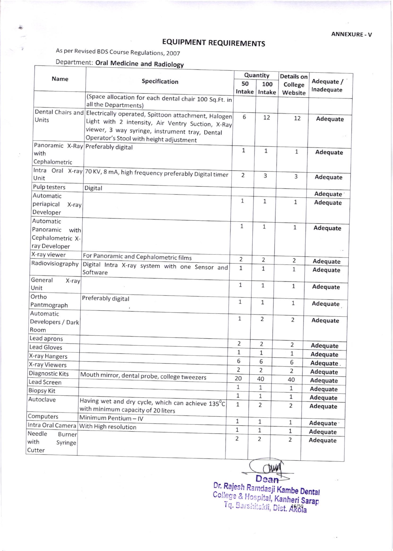## EQUIPMENT REQUIREMENTS

As per Revised BDS Course Regulations,2OOT

## Department: Oral Medicine and Radiology

| Name                           | Specification                                                                           | Quantity       |                | Details on     |                      |
|--------------------------------|-----------------------------------------------------------------------------------------|----------------|----------------|----------------|----------------------|
|                                |                                                                                         | 50             | 100            | College        | Adequate /           |
|                                |                                                                                         | Intake         | Intake         | Website        | Inadequate           |
|                                | (Space allocation for each dental chair 100 Sq.Ft. in<br>all the Departments)           |                |                |                |                      |
|                                | Dental Chairs and Electrically operated, Spittoon attachment, Halogen                   | 6              | 12             | 12             |                      |
| Units                          | Light with 2 intensity, Air Ventry Suction, X-Ray                                       |                |                |                | Adequate             |
|                                | viewer, 3 way syringe, instrument tray, Dental                                          |                |                |                |                      |
|                                | Operator's Stool with height adjustment                                                 |                |                |                |                      |
| with                           | Panoramic X-Ray Preferably digital                                                      | 1              | $\mathbf{1}$   | $1\,$          | Adequate             |
| Cephalometric                  |                                                                                         |                |                |                |                      |
|                                |                                                                                         |                |                |                |                      |
| Unit                           | Intra Oral X-ray 70 KV, 8 mA, high frequency preferably Digital timer                   | $\overline{2}$ | 3              | 3              | Adequate             |
| Pulp testers                   | Digital                                                                                 |                |                |                |                      |
| Automatic                      |                                                                                         | 1              | $\mathbf{1}$   |                | Adequate             |
| periapical<br>X-ray            |                                                                                         |                |                | $\mathbf{1}$   | Adequate             |
| Developer                      |                                                                                         |                |                |                |                      |
| Automatic                      |                                                                                         | $\mathbf{1}$   | $\mathbf{1}$   |                |                      |
| Panoramic<br>with              |                                                                                         |                |                | $\mathbf{1}$   | Adequate             |
| Cephalometric X-               |                                                                                         |                |                |                |                      |
| ray Developer                  |                                                                                         |                |                |                |                      |
| X-ray viewer                   | For Panoramic and Cephalometric films                                                   | 2              | 2              | $\overline{2}$ | Adequate             |
| Radiovisiography               | Digital Intra X-ray system with one Sensor and<br>Software                              | $\mathbf{1}$   | 1              | $\mathbf{1}$   | Adequate             |
| General<br>X-ray               |                                                                                         | $\mathbf{1}$   | $\mathbf{1}$   |                |                      |
| Unit                           |                                                                                         |                |                | $\mathbf{1}$   | Adequate             |
| Ortho                          | Preferably digital                                                                      | 1              | $\mathbf{1}$   | $1\,$          |                      |
| Pantmograph                    |                                                                                         |                |                |                | Adequate             |
| Automatic                      |                                                                                         | $\mathbf{1}$   | $\overline{2}$ | $\overline{2}$ |                      |
| Developers / Dark              |                                                                                         |                |                |                | Adequate             |
| Room                           |                                                                                         |                |                |                |                      |
| Lead aprons                    |                                                                                         | $\overline{2}$ | $\overline{2}$ | $\overline{2}$ | Adequate             |
| <b>Lead Gloves</b>             |                                                                                         | 1              | $1\,$          | $\mathbf{1}$   | Adequate             |
| X-ray Hangers<br>X-ray Viewers |                                                                                         | 6              | 6              | 6              | Adequate.            |
|                                |                                                                                         | $\overline{2}$ | $\overline{2}$ | $\overline{2}$ | Adequate             |
| Diagnostic Kits<br>Lead Screen | Mouth mirror, dental probe, college tweezers                                            | 20             | 40             | 40             | Adequate             |
|                                |                                                                                         | 1              | $1\,$          | $\mathbf{1}$   | Adequate             |
| <b>Biopsy Kit</b><br>Autoclave |                                                                                         | $\mathbf 1$    | $\mathbf 1$    | $\mathbf{1}$   | Adequate             |
|                                | Having wet and dry cycle, which can achieve 135°C<br>with minimum capacity of 20 liters | $\mathbf{1}$   | $\overline{2}$ | $\overline{2}$ | Adequate             |
| Computers                      | Minimum Pentium-IV                                                                      | $1\,$          | 1              | $\mathbf{1}$   |                      |
|                                | Intra Oral Camera With High resolution                                                  | 1              | $\mathbf 1$    | $\mathbf{1}$   | Adequate ·           |
| Needle<br><b>Burner</b>        |                                                                                         | $\overline{2}$ | $\overline{2}$ | 2              | Adequate<br>Adequate |
| with<br>Syringe<br>Cutter      |                                                                                         |                |                |                |                      |

U Dean

Dr. Rajesh Ramdasji Kambe Dental<br>College & Hospital, Kanheri Sarap<br>Tq. Barshitakli, Dist. Akola rar